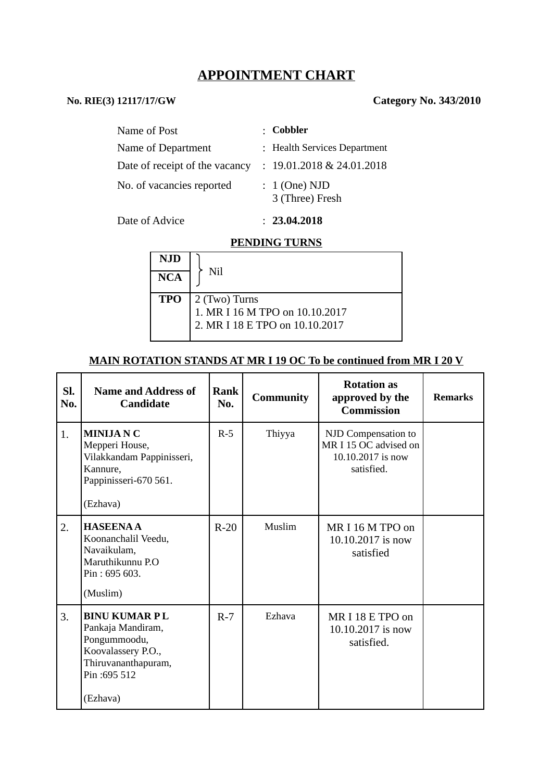# **APPOINTMENT CHART**

## **No. RIE(3) 12117/17/GW Category No. 343/2010**

| Name of Post                   | : Cobbler                          |
|--------------------------------|------------------------------------|
| Name of Department             | : Health Services Department       |
| Date of receipt of the vacancy | $: 19.01.2018 \& 24.01.2018$       |
| No. of vacancies reported      | $: 1$ (One) NJD<br>3 (Three) Fresh |

Date of Advice : **23.04.2018**

### **PENDING TURNS**

| <b>NJD</b> |                                                                                   |
|------------|-----------------------------------------------------------------------------------|
| <b>NCA</b> | Nil                                                                               |
| <b>TPO</b> | 2 (Two) Turns<br>1. MR I 16 M TPO on 10.10.2017<br>2. MR I 18 E TPO on 10.10.2017 |

### **MAIN ROTATION STANDS AT MR I 19 OC To be continued from MR I 20 V**

| SI.<br>No. | <b>Name and Address of</b><br><b>Candidate</b>                                                                                     | <b>Rank</b><br>No. | <b>Community</b> | <b>Rotation as</b><br>approved by the<br><b>Commission</b>                      | <b>Remarks</b> |
|------------|------------------------------------------------------------------------------------------------------------------------------------|--------------------|------------------|---------------------------------------------------------------------------------|----------------|
| 1.         | <b>MINIJANC</b><br>Mepperi House,<br>Vilakkandam Pappinisseri,<br>Kannure,<br>Pappinisseri-670 561.<br>(Ezhava)                    | $R-5$              | Thiyya           | NJD Compensation to<br>MR I 15 OC advised on<br>10.10.2017 is now<br>satisfied. |                |
| 2.         | <b>HASEENAA</b><br>Koonanchalil Veedu,<br>Navaikulam,<br>Maruthikunnu P.O<br>Pin: 695 603.<br>(Muslim)                             | $R-20$             | Muslim           | MRI <sub>16</sub> M <sub>TPO</sub> on<br>10.10.2017 is now<br>satisfied         |                |
| 3.         | <b>BINU KUMAR PL</b><br>Pankaja Mandiram,<br>Pongummoodu,<br>Koovalassery P.O.,<br>Thiruvananthapuram,<br>Pin: 695 512<br>(Ezhava) | $R-7$              | Ezhava           | MR I 18 E TPO on<br>10.10.2017 is now<br>satisfied.                             |                |